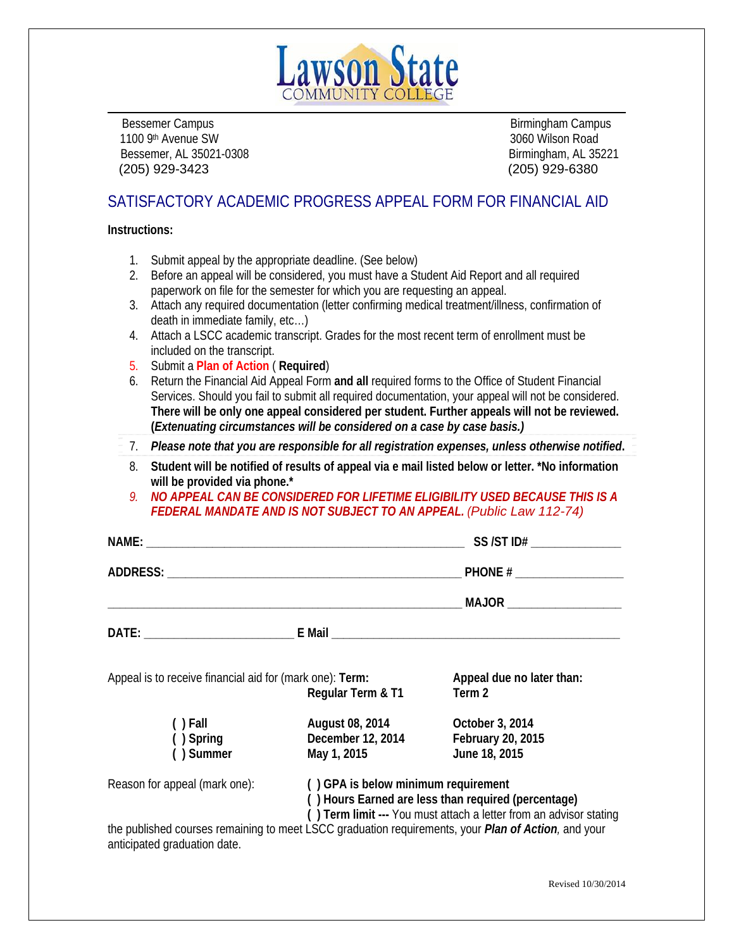

Bessemer Campus **Birmingham Campus** Birmingham Campus **Birmingham Campus** 1100 9th Avenue SW 3060 Wilson Road Bessemer, AL 35021-0308 Birmingham, AL 35221 (205) 929-3423 (205) 929-6380

# SATISFACTORY ACADEMIC PROGRESS APPEAL FORM FOR FINANCIAL AID

**Instructions:** 

- 1. Submit appeal by the appropriate deadline. (See below)
- 2. Before an appeal will be considered, you must have a Student Aid Report and all required paperwork on file for the semester for which you are requesting an appeal.
- 3. Attach any required documentation (letter confirming medical treatment/illness, confirmation of death in immediate family, etc…)
- 4. Attach a LSCC academic transcript. Grades for the most recent term of enrollment must be included on the transcript.
- 5. Submit a **Plan of Action** ( **Required**)
- 6. Return the Financial Aid Appeal Form **and all** required forms to the Office of Student Financial Services. Should you fail to submit all required documentation, your appeal will not be considered. **There will be only one appeal considered per student. Further appeals will not be reviewed. (***Extenuating circumstances will be considered on a case by case basis.)*
- 7. *Please note that you are responsible for all registration expenses, unless otherwise notified***.**
- 8. **Student will be notified of results of appeal via e mail listed below or letter. \*No information will be provided via phone.\***
- *9. NO APPEAL CAN BE CONSIDERED FOR LIFETIME ELIGIBILITY USED BECAUSE THIS IS A FEDERAL MANDATE AND IS NOT SUBJECT TO AN APPEAL. (Public Law 112-74)*

| NAME: NAME: 2008 2014 2023 2024 2022 2023 2024 2022 2023 2024 2022 2023 2024 2022 2023 2024 2022 2023 2024 20 |                                                                                                                                                                  | $SS/ST$ ID# $\_\_\_\_\_\_\_\_\_\_\_\_\_\_\_\_\_\_$                                                          |  |
|---------------------------------------------------------------------------------------------------------------|------------------------------------------------------------------------------------------------------------------------------------------------------------------|-------------------------------------------------------------------------------------------------------------|--|
|                                                                                                               |                                                                                                                                                                  |                                                                                                             |  |
|                                                                                                               |                                                                                                                                                                  |                                                                                                             |  |
|                                                                                                               |                                                                                                                                                                  |                                                                                                             |  |
| Appeal is to receive financial aid for (mark one): Term:                                                      | Regular Term & T1                                                                                                                                                | Appeal due no later than:<br>Term 2                                                                         |  |
| $( )$ Fall<br>() Spring<br>() Summer                                                                          | August 08, 2014<br>December 12, 2014<br>May 1, 2015                                                                                                              | October 3, 2014<br>February 20, 2015<br>June 18, 2015                                                       |  |
| Reason for appeal (mark one):                                                                                 | () GPA is below minimum requirement<br>() Hours Earned are less than required (percentage)<br>() Term limit --- You must attach a letter from an advisor stating |                                                                                                             |  |
| anticipated graduation date.                                                                                  |                                                                                                                                                                  | the published courses remaining to meet LSCC graduation requirements, your <i>Plan of Action</i> , and your |  |

Revised 10/30/2014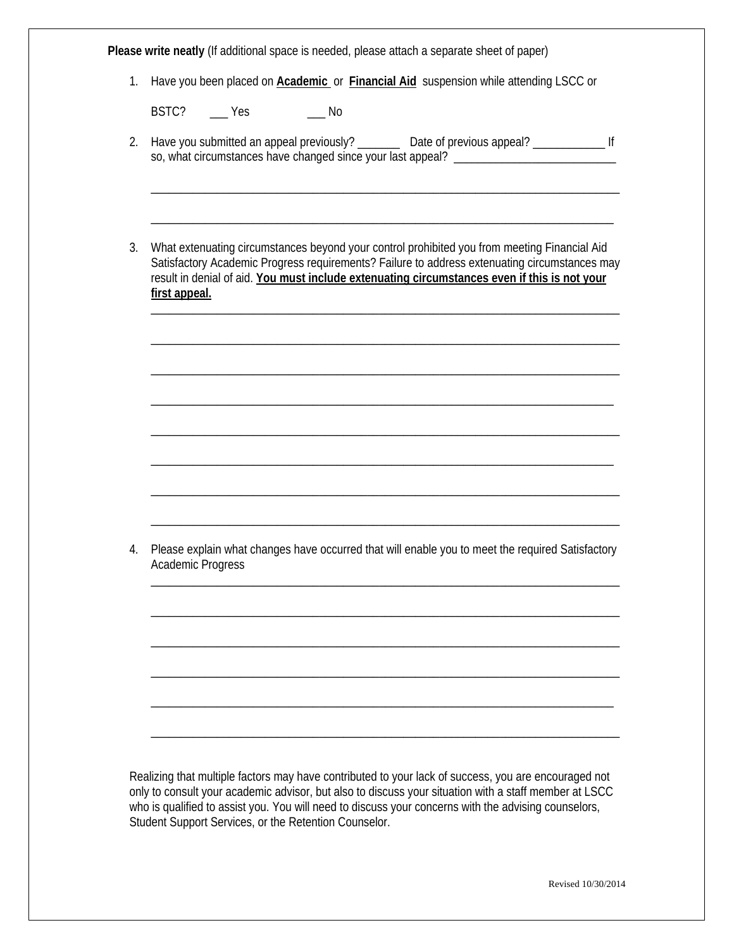| 1. | Please write neatly (If additional space is needed, please attach a separate sheet of paper)<br>Have you been placed on <b>Academic</b> or <b>Financial Aid</b> suspension while attending LSCC or                                                                                                                                                                             |  |  |  |  |  |
|----|--------------------------------------------------------------------------------------------------------------------------------------------------------------------------------------------------------------------------------------------------------------------------------------------------------------------------------------------------------------------------------|--|--|--|--|--|
|    |                                                                                                                                                                                                                                                                                                                                                                                |  |  |  |  |  |
| 2. | BSTC? ____ Yes<br>$\overline{\phantom{0}}$ No<br>Have you submitted an appeal previously? __________ Date of previous appeal? _______________________ If<br>so, what circumstances have changed since your last appeal?                                                                                                                                                        |  |  |  |  |  |
| 3. | What extenuating circumstances beyond your control prohibited you from meeting Financial Aid<br>Satisfactory Academic Progress requirements? Failure to address extenuating circumstances may<br>result in denial of aid. You must include extenuating circumstances even if this is not your<br>first appeal.                                                                 |  |  |  |  |  |
|    |                                                                                                                                                                                                                                                                                                                                                                                |  |  |  |  |  |
|    |                                                                                                                                                                                                                                                                                                                                                                                |  |  |  |  |  |
| 4. | Please explain what changes have occurred that will enable you to meet the required Satisfactory<br><b>Academic Progress</b>                                                                                                                                                                                                                                                   |  |  |  |  |  |
|    |                                                                                                                                                                                                                                                                                                                                                                                |  |  |  |  |  |
|    |                                                                                                                                                                                                                                                                                                                                                                                |  |  |  |  |  |
|    | Realizing that multiple factors may have contributed to your lack of success, you are encouraged not<br>only to consult your academic advisor, but also to discuss your situation with a staff member at LSCC<br>who is qualified to assist you. You will need to discuss your concerns with the advising counselors,<br>Student Support Services, or the Retention Counselor. |  |  |  |  |  |

Revised 10/30/2014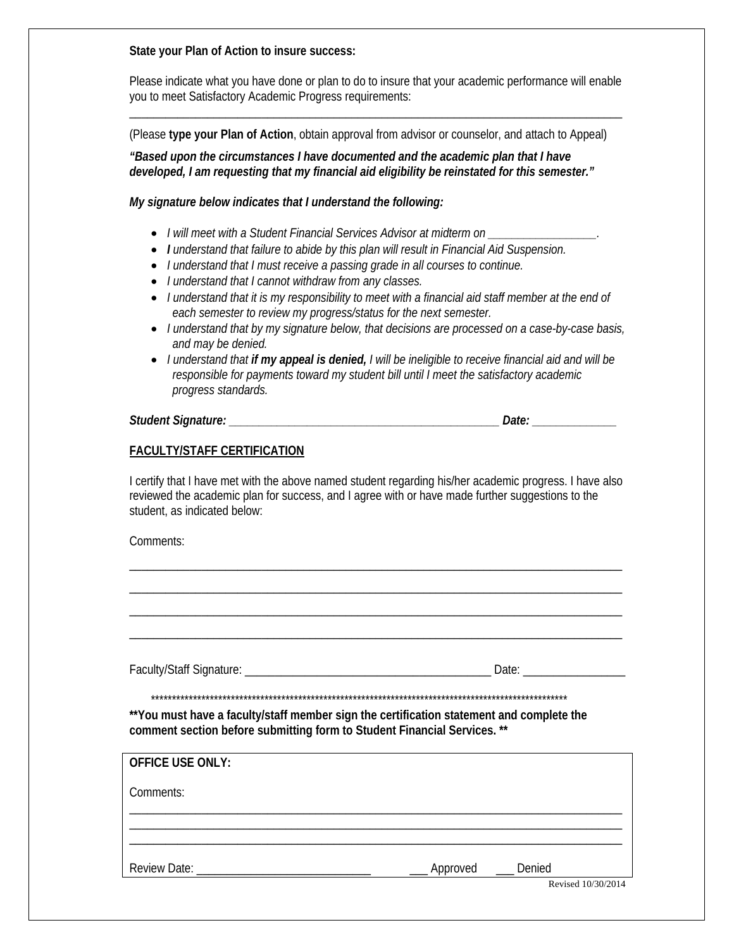#### **State your Plan of Action to insure success:**

Please indicate what you have done or plan to do to insure that your academic performance will enable you to meet Satisfactory Academic Progress requirements: \_\_\_\_\_\_\_\_\_\_\_\_\_\_\_\_\_\_\_\_\_\_\_\_\_\_\_\_\_\_\_\_\_\_\_\_\_\_\_\_\_\_\_\_\_\_\_\_\_\_\_\_\_\_\_\_\_\_\_\_\_\_\_\_\_\_\_\_\_\_\_\_\_\_\_\_\_\_\_\_\_\_

(Please **type your Plan of Action**, obtain approval from advisor or counselor, and attach to Appeal)

*"Based upon the circumstances I have documented and the academic plan that I have developed, I am requesting that my financial aid eligibility be reinstated for this semester."* 

*My signature below indicates that I understand the following:* 

- *I will meet with a Student Financial Services Advisor at midterm on \_\_\_\_\_\_\_\_\_\_\_\_\_\_\_\_\_\_.*
- *I understand that failure to abide by this plan will result in Financial Aid Suspension.*
- *I understand that I must receive a passing grade in all courses to continue.*
- *I understand that I cannot withdraw from any classes.*
- *I understand that it is my responsibility to meet with a financial aid staff member at the end of each semester to review my progress/status for the next semester.*
- *I understand that by my signature below, that decisions are processed on a case-by-case basis, and may be denied.*
- *I understand that if my appeal is denied, I will be ineligible to receive financial aid and will be responsible for payments toward my student bill until I meet the satisfactory academic progress standards.*

*Student Signature: \_\_\_\_\_\_\_\_\_\_\_\_\_\_\_\_\_\_\_\_\_\_\_\_\_\_\_\_\_\_\_\_\_\_\_\_\_\_\_\_\_\_\_\_\_ Date: \_\_\_\_\_\_\_\_\_\_\_\_\_\_* 

## **FACULTY/STAFF CERTIFICATION**

I certify that I have met with the above named student regarding his/her academic progress. I have also reviewed the academic plan for success, and I agree with or have made further suggestions to the student, as indicated below:

\_\_\_\_\_\_\_\_\_\_\_\_\_\_\_\_\_\_\_\_\_\_\_\_\_\_\_\_\_\_\_\_\_\_\_\_\_\_\_\_\_\_\_\_\_\_\_\_\_\_\_\_\_\_\_\_\_\_\_\_\_\_\_\_\_\_\_\_\_\_\_\_\_\_\_\_\_\_\_\_\_\_ \_\_\_\_\_\_\_\_\_\_\_\_\_\_\_\_\_\_\_\_\_\_\_\_\_\_\_\_\_\_\_\_\_\_\_\_\_\_\_\_\_\_\_\_\_\_\_\_\_\_\_\_\_\_\_\_\_\_\_\_\_\_\_\_\_\_\_\_\_\_\_\_\_\_\_\_\_\_\_\_\_\_ \_\_\_\_\_\_\_\_\_\_\_\_\_\_\_\_\_\_\_\_\_\_\_\_\_\_\_\_\_\_\_\_\_\_\_\_\_\_\_\_\_\_\_\_\_\_\_\_\_\_\_\_\_\_\_\_\_\_\_\_\_\_\_\_\_\_\_\_\_\_\_\_\_\_\_\_\_\_\_\_\_\_ \_\_\_\_\_\_\_\_\_\_\_\_\_\_\_\_\_\_\_\_\_\_\_\_\_\_\_\_\_\_\_\_\_\_\_\_\_\_\_\_\_\_\_\_\_\_\_\_\_\_\_\_\_\_\_\_\_\_\_\_\_\_\_\_\_\_\_\_\_\_\_\_\_\_\_\_\_\_\_\_\_\_

Comments:

Faculty/Staff Signature: \_\_\_\_\_\_\_\_\_\_\_\_\_\_\_\_\_\_\_\_\_\_\_\_\_\_\_\_\_\_\_\_\_\_\_\_\_\_\_\_\_ Date: \_\_\_\_\_\_\_\_\_\_\_\_\_\_\_\_\_

\*\*\*\*\*\*\*\*\*\*\*\*\*\*\*\*\*\*\*\*\*\*\*\*\*\*\*\*\*\*\*\*\*\*\*\*\*\*\*\*\*\*\*\*\*\*\*\*\*\*\*\*\*\*\*\*\*\*\*\*\*\*\*\*\*\*\*\*\*\*\*\*\*\*\*\*\*\*\*\*\*\*\*\*\*\*\*\*\*\*\*\*\*\*\*\*\*\*\*

**\*\*You must have a faculty/staff member sign the certification statement and complete the comment section before submitting form to Student Financial Services. \*\*** 

| <b>OFFICE USE ONLY:</b> |          |                    |
|-------------------------|----------|--------------------|
| Comments:               |          |                    |
|                         |          |                    |
| Review Date: _          | Approved | Denied             |
|                         |          | Revised 10/30/2014 |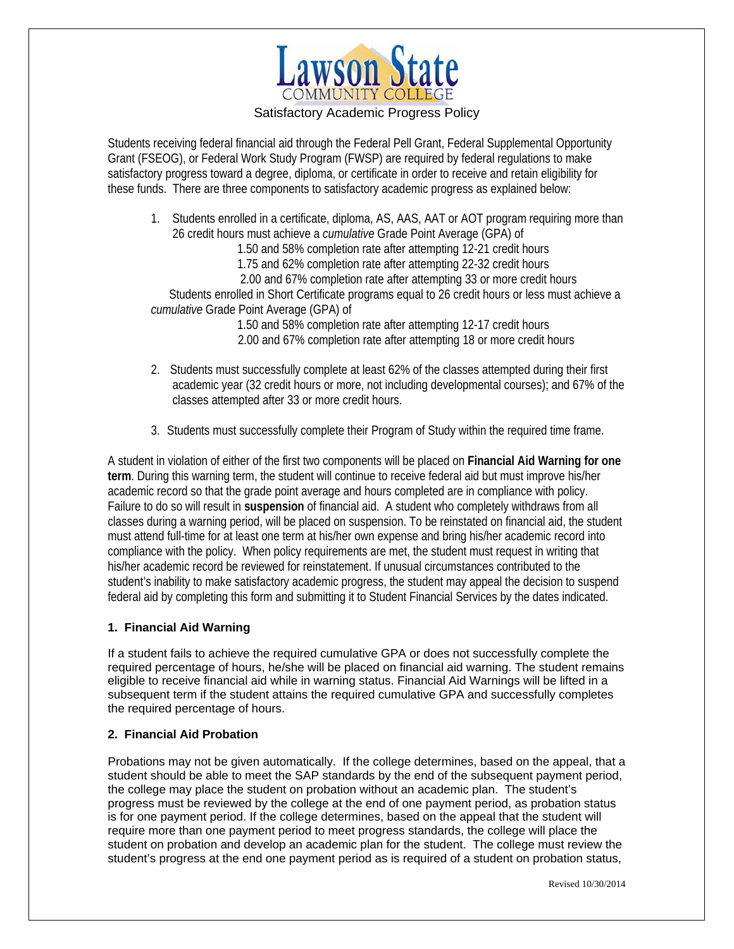

## Satisfactory Academic Progress Policy

Students receiving federal financial aid through the Federal Pell Grant, Federal Supplemental Opportunity Grant (FSEOG), or Federal Work Study Program (FWSP) are required by federal regulations to make satisfactory progress toward a degree, diploma, or certificate in order to receive and retain eligibility for these funds. There are three components to satisfactory academic progress as explained below:

1. Students enrolled in a certificate, diploma, AS, AAS, AAT or AOT program requiring more than 26 credit hours must achieve a *cumulative* Grade Point Average (GPA) of

1.50 and 58% completion rate after attempting 12-21 credit hours

1.75 and 62% completion rate after attempting 22-32 credit hours

2.00 and 67% completion rate after attempting 33 or more credit hours

 Students enrolled in Short Certificate programs equal to 26 credit hours or less must achieve a *cumulative* Grade Point Average (GPA) of

> 1.50 and 58% completion rate after attempting 12-17 credit hours 2.00 and 67% completion rate after attempting 18 or more credit hours

- 2. Students must successfully complete at least 62% of the classes attempted during their first academic year (32 credit hours or more, not including developmental courses); and 67% of the classes attempted after 33 or more credit hours.
- 3. Students must successfully complete their Program of Study within the required time frame.

A student in violation of either of the first two components will be placed on **Financial Aid Warning for one term**. During this warning term, the student will continue to receive federal aid but must improve his/her academic record so that the grade point average and hours completed are in compliance with policy. Failure to do so will result in **suspension** of financial aid. A student who completely withdraws from all classes during a warning period, will be placed on suspension. To be reinstated on financial aid, the student must attend full-time for at least one term at his/her own expense and bring his/her academic record into compliance with the policy. When policy requirements are met, the student must request in writing that his/her academic record be reviewed for reinstatement. If unusual circumstances contributed to the student's inability to make satisfactory academic progress, the student may appeal the decision to suspend federal aid by completing this form and submitting it to Student Financial Services by the dates indicated.

## **1. Financial Aid Warning**

If a student fails to achieve the required cumulative GPA or does not successfully complete the required percentage of hours, he/she will be placed on financial aid warning. The student remains eligible to receive financial aid while in warning status. Financial Aid Warnings will be lifted in a subsequent term if the student attains the required cumulative GPA and successfully completes the required percentage of hours.

# **2. Financial Aid Probation**

Probations may not be given automatically. If the college determines, based on the appeal, that a student should be able to meet the SAP standards by the end of the subsequent payment period, the college may place the student on probation without an academic plan. The student's progress must be reviewed by the college at the end of one payment period, as probation status is for one payment period. If the college determines, based on the appeal that the student will require more than one payment period to meet progress standards, the college will place the student on probation and develop an academic plan for the student. The college must review the student's progress at the end one payment period as is required of a student on probation status,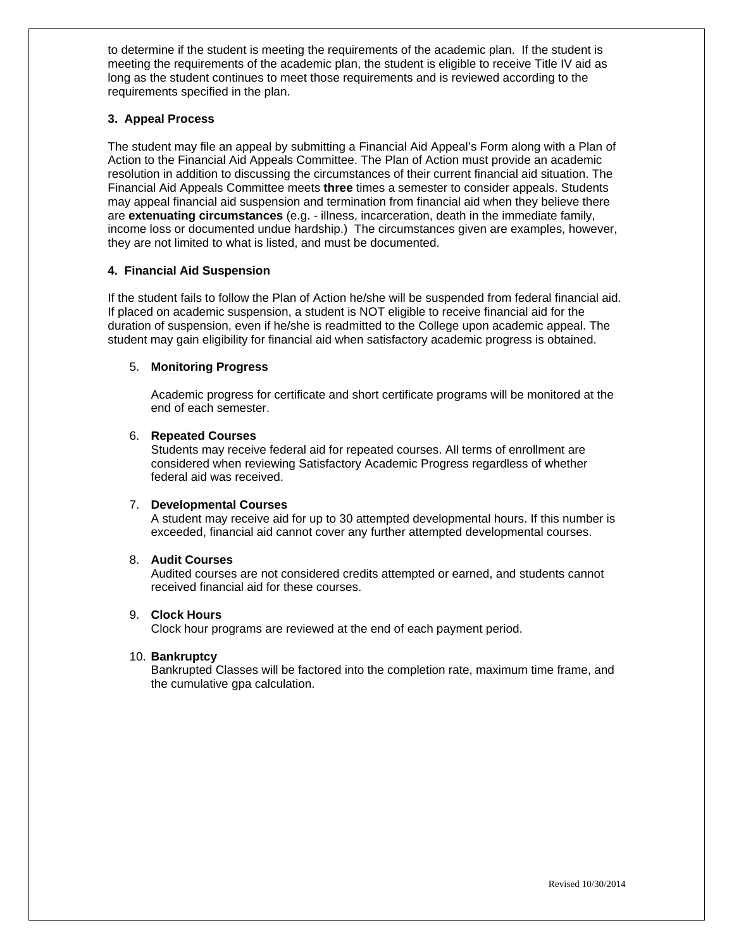to determine if the student is meeting the requirements of the academic plan. If the student is meeting the requirements of the academic plan, the student is eligible to receive Title IV aid as long as the student continues to meet those requirements and is reviewed according to the requirements specified in the plan.

#### **3. Appeal Process**

The student may file an appeal by submitting a Financial Aid Appeal's Form along with a Plan of Action to the Financial Aid Appeals Committee. The Plan of Action must provide an academic resolution in addition to discussing the circumstances of their current financial aid situation. The Financial Aid Appeals Committee meets **three** times a semester to consider appeals. Students may appeal financial aid suspension and termination from financial aid when they believe there are **extenuating circumstances** (e.g. - illness, incarceration, death in the immediate family, income loss or documented undue hardship.) The circumstances given are examples, however, they are not limited to what is listed, and must be documented.

#### **4. Financial Aid Suspension**

If the student fails to follow the Plan of Action he/she will be suspended from federal financial aid. If placed on academic suspension, a student is NOT eligible to receive financial aid for the duration of suspension, even if he/she is readmitted to the College upon academic appeal. The student may gain eligibility for financial aid when satisfactory academic progress is obtained.

#### 5. **Monitoring Progress**

Academic progress for certificate and short certificate programs will be monitored at the end of each semester.

#### 6. **Repeated Courses**

Students may receive federal aid for repeated courses. All terms of enrollment are considered when reviewing Satisfactory Academic Progress regardless of whether federal aid was received.

#### 7. **Developmental Courses**

A student may receive aid for up to 30 attempted developmental hours. If this number is exceeded, financial aid cannot cover any further attempted developmental courses.

#### 8. **Audit Courses**

Audited courses are not considered credits attempted or earned, and students cannot received financial aid for these courses.

#### 9. **Clock Hours**

Clock hour programs are reviewed at the end of each payment period.

#### 10. **Bankruptcy**

Bankrupted Classes will be factored into the completion rate, maximum time frame, and the cumulative gpa calculation.